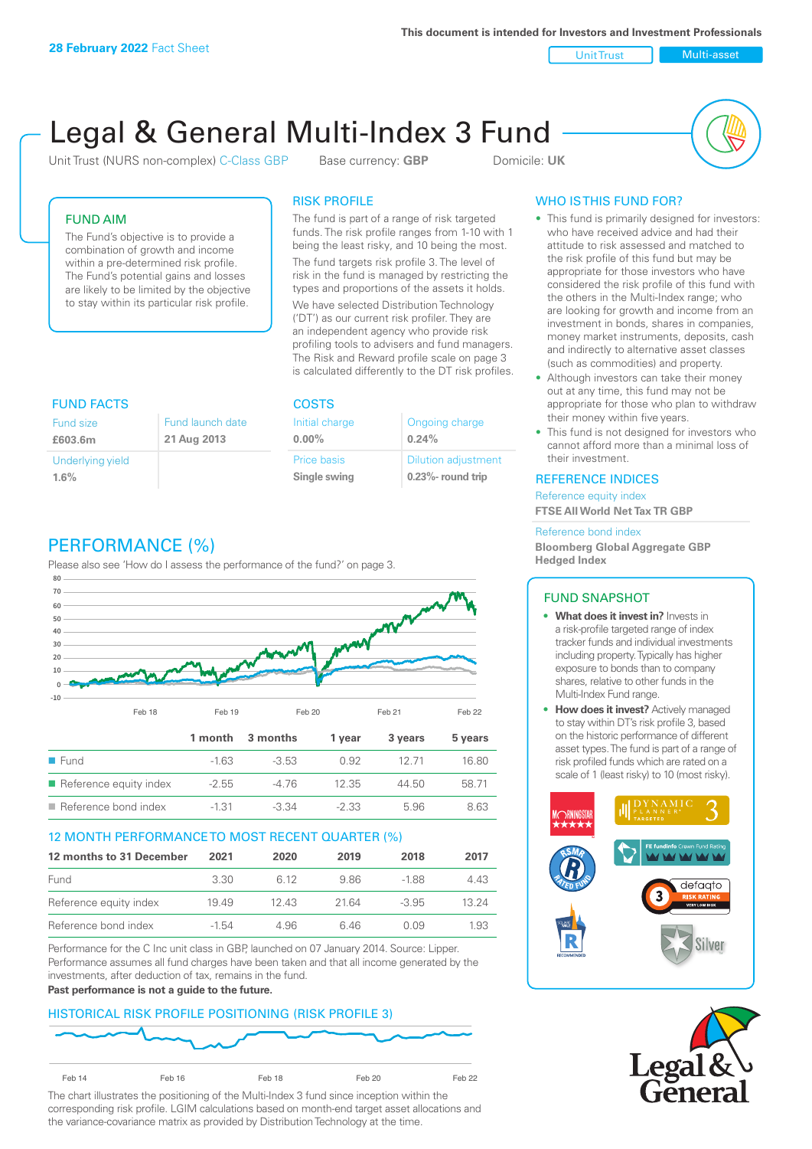**This document is intended for Investors and Investment Professionals**

Unit Trust Nulti-asset

# Legal & General Multi-Index 3 Fund

Unit Trust (NURS non-complex) C-Class GBP Base currency: **GBP** Domicile: UK



## FUND AIM

The Fund's objective is to provide a combination of growth and income within a pre-determined risk profile. The Fund's potential gains and losses are likely to be limited by the objective to stay within its particular risk profile.

## RISK PROFILE

The fund is part of a range of risk targeted funds. The risk profile ranges from 1-10 with 1 being the least risky, and 10 being the most.

The fund targets risk profile 3. The level of risk in the fund is managed by restricting the types and proportions of the assets it holds. We have selected Distribution Technology ('DT') as our current risk profiler. They are an independent agency who provide risk profiling tools to advisers and fund managers. The Risk and Reward profile scale on page 3 is calculated differently to the DT risk profiles.

| <b>FUND FACTS</b> |                  | <b>COSTS</b>   |                            |  |
|-------------------|------------------|----------------|----------------------------|--|
| <b>Fund size</b>  | Fund launch date | Initial charge | Ongoing charge             |  |
| £603.6m           | 21 Aug 2013      | $0.00\%$       | 0.24%                      |  |
| Underlying yield  |                  | Price basis    | <b>Dilution adjustment</b> |  |
| 1.6%              |                  | Single swing   | $0.23\%$ - round trip      |  |

# PERFORMANCE (%)

Please also see 'How do I assess the performance of the fund?' on page 3.



### 12 MONTH PERFORMANCE TO MOST RECENT QUARTER (%)

| 12 months to 31 December | 2021    | 2020 | 2019  | 2018    | 2017  |
|--------------------------|---------|------|-------|---------|-------|
| Fund                     | 3.30    | 6.12 | 986   | -188    | 4.43  |
| Reference equity index   | 1949    | 1243 | 21.64 | $-3.95$ | 13 24 |
| Reference bond index     | $-1.54$ | 4.96 | 646   | O O.9   | 1 93  |

Performance for the C Inc unit class in GBP, launched on 07 January 2014. Source: Lipper. Performance assumes all fund charges have been taken and that all income generated by the investments, after deduction of tax, remains in the fund.

#### **Past performance is not a guide to the future.**

### HISTORICAL RISK PROFILE POSITIONING (RISK PROFILE 3)



The chart illustrates the positioning of the Multi-Index 3 fund since inception within the corresponding risk profile. LGIM calculations based on month-end target asset allocations and the variance-covariance matrix as provided by Distribution Technology at the time.

# WHO IS THIS FUND FOR?

- This fund is primarily designed for investors: who have received advice and had their attitude to risk assessed and matched to the risk profile of this fund but may be appropriate for those investors who have considered the risk profile of this fund with the others in the Multi-Index range; who are looking for growth and income from an investment in bonds, shares in companies, money market instruments, deposits, cash and indirectly to alternative asset classes (such as commodities) and property.
- Although investors can take their money out at any time, this fund may not be appropriate for those who plan to withdraw their money within five years.
- This fund is not designed for investors who cannot afford more than a minimal loss of their investment.

### REFERENCE INDICES

Reference equity index **FTSE All World Net Tax TR GBP**

#### Reference bond index

**Bloomberg Global Aggregate GBP Hedged Index**

### FUND SNAPSHOT

- **• What does it invest in?** Invests in a risk-profile targeted range of index tracker funds and individual investments including property. Typically has higher exposure to bonds than to company shares, relative to other funds in the Multi-Index Fund range.
- **• How does it invest?** Actively managed to stay within DT's risk profile 3, based on the historic performance of different asset types. The fund is part of a range of risk profiled funds which are rated on a scale of 1 (least risky) to 10 (most risky).



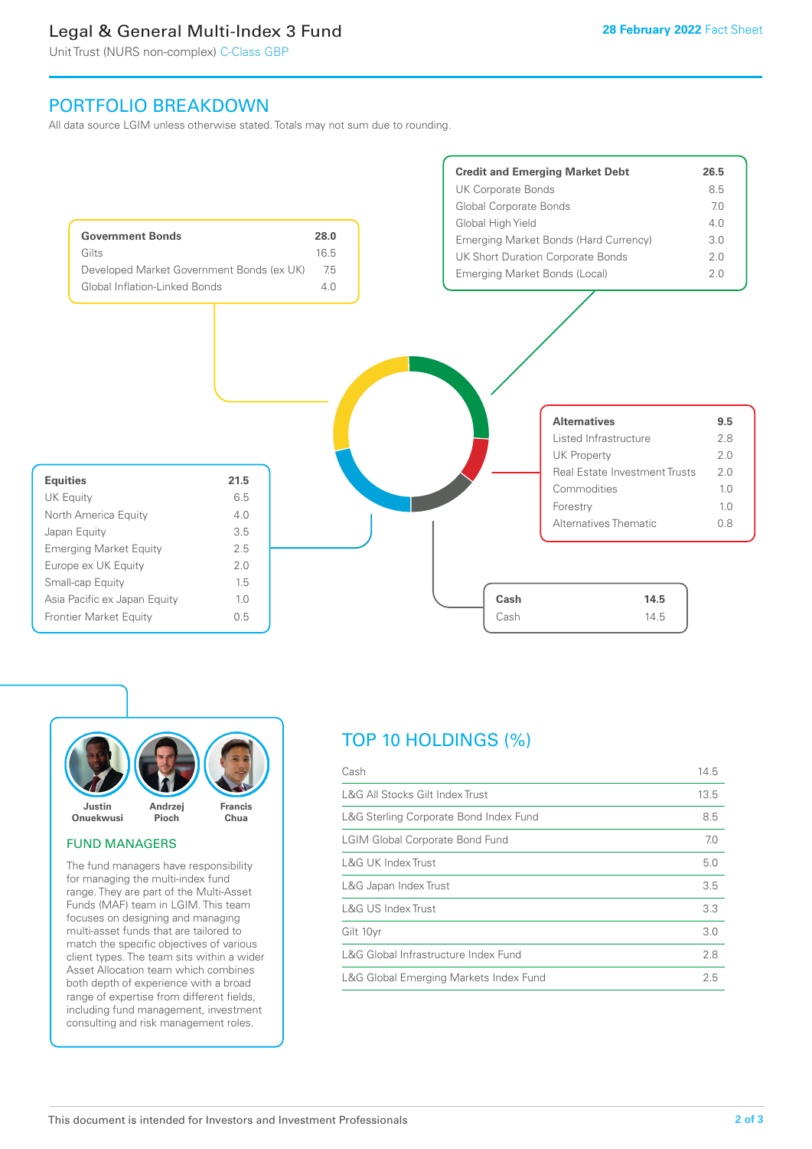# Legal & General Multi-Index 3 Fund

Unit Trust (NURS non-complex) C-Class GBP

# PORTFOLIO BREAKDOWN

All data source LGIM unless otherwise stated. Totals may not sum due to rounding.





### FUND MANAGERS

The fund managers have responsibility for managing the multi-index fund range. They are part of the Multi-Asset Funds (MAF) team in LGIM. This team focuses on designing and managing multi-asset funds that are tailored to match the specific objectives of various client types. The team sits within a wider Asset Allocation team which combines both depth of experience with a broad range of expertise from different fields, including fund management, investment consulting and risk management roles.

# TOP 10 HOLDINGS (%)

| Cash                                   | 14.5 |
|----------------------------------------|------|
| L&G All Stocks Gilt Index Trust        | 13.5 |
| L&G Sterling Corporate Bond Index Fund | 8.5  |
| <b>LGIM Global Corporate Bond Fund</b> | 7.0  |
| <b>L&amp;G UK Index Trust</b>          | 5.0  |
| L&G Japan Index Trust                  | 3.5  |
| <b>L&amp;G US Index Trust</b>          | 3.3  |
| Gilt 10yr                              | 3.0  |
| L&G Global Infrastructure Index Fund   | 2.8  |
| L&G Global Emerging Markets Index Fund | 2.5  |